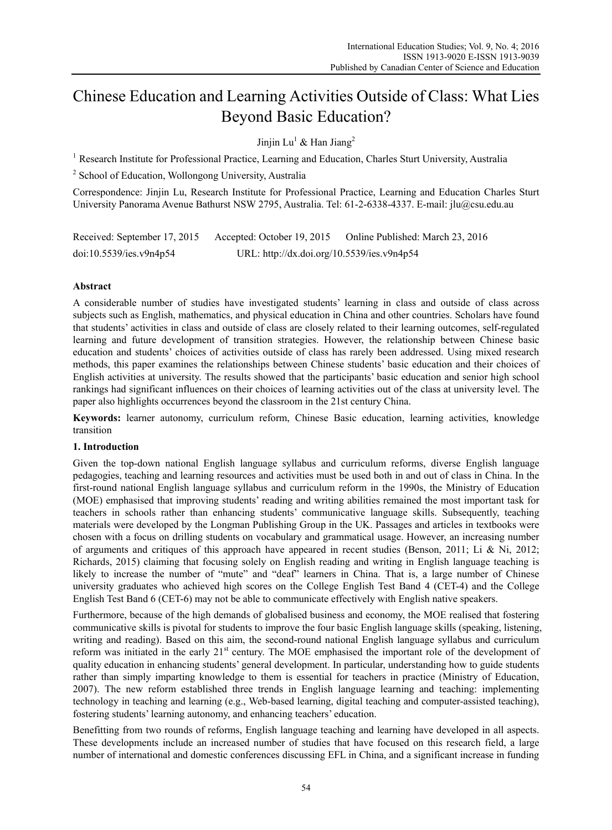# Chinese Education and Learning Activities Outside of Class: What Lies Beyond Basic Education?

Jinjin Lu<sup>1</sup> & Han Jiang<sup>2</sup>

<sup>1</sup> Research Institute for Professional Practice, Learning and Education, Charles Sturt University, Australia

<sup>2</sup> School of Education, Wollongong University, Australia

Correspondence: Jinjin Lu, Research Institute for Professional Practice, Learning and Education Charles Sturt University Panorama Avenue Bathurst NSW 2795, Australia. Tel: 61-2-6338-4337. E-mail: jlu@csu.edu.au

| Received: September 17, 2015 | Accepted: October 19, 2015                 | Online Published: March 23, 2016 |
|------------------------------|--------------------------------------------|----------------------------------|
| doi:10.5539/ies.v9n4p54      | URL: http://dx.doi.org/10.5539/ies.v9n4p54 |                                  |

# **Abstract**

A considerable number of studies have investigated students' learning in class and outside of class across subjects such as English, mathematics, and physical education in China and other countries. Scholars have found that students' activities in class and outside of class are closely related to their learning outcomes, self-regulated learning and future development of transition strategies. However, the relationship between Chinese basic education and students' choices of activities outside of class has rarely been addressed. Using mixed research methods, this paper examines the relationships between Chinese students' basic education and their choices of English activities at university. The results showed that the participants' basic education and senior high school rankings had significant influences on their choices of learning activities out of the class at university level. The paper also highlights occurrences beyond the classroom in the 21st century China.

**Keywords:** learner autonomy, curriculum reform, Chinese Basic education, learning activities, knowledge transition

# **1. Introduction**

Given the top-down national English language syllabus and curriculum reforms, diverse English language pedagogies, teaching and learning resources and activities must be used both in and out of class in China. In the first-round national English language syllabus and curriculum reform in the 1990s, the Ministry of Education (MOE) emphasised that improving students' reading and writing abilities remained the most important task for teachers in schools rather than enhancing students' communicative language skills. Subsequently, teaching materials were developed by the Longman Publishing Group in the UK. Passages and articles in textbooks were chosen with a focus on drilling students on vocabulary and grammatical usage. However, an increasing number of arguments and critiques of this approach have appeared in recent studies (Benson, 2011; Li & Ni, 2012; Richards, 2015) claiming that focusing solely on English reading and writing in English language teaching is likely to increase the number of "mute" and "deaf" learners in China. That is, a large number of Chinese university graduates who achieved high scores on the College English Test Band 4 (CET-4) and the College English Test Band 6 (CET-6) may not be able to communicate effectively with English native speakers.

Furthermore, because of the high demands of globalised business and economy, the MOE realised that fostering communicative skills is pivotal for students to improve the four basic English language skills (speaking, listening, writing and reading). Based on this aim, the second-round national English language syllabus and curriculum reform was initiated in the early 21<sup>st</sup> century. The MOE emphasised the important role of the development of quality education in enhancing students' general development. In particular, understanding how to guide students rather than simply imparting knowledge to them is essential for teachers in practice (Ministry of Education, 2007). The new reform established three trends in English language learning and teaching: implementing technology in teaching and learning (e.g., Web-based learning, digital teaching and computer-assisted teaching), fostering students' learning autonomy, and enhancing teachers' education.

Benefitting from two rounds of reforms, English language teaching and learning have developed in all aspects. These developments include an increased number of studies that have focused on this research field, a large number of international and domestic conferences discussing EFL in China, and a significant increase in funding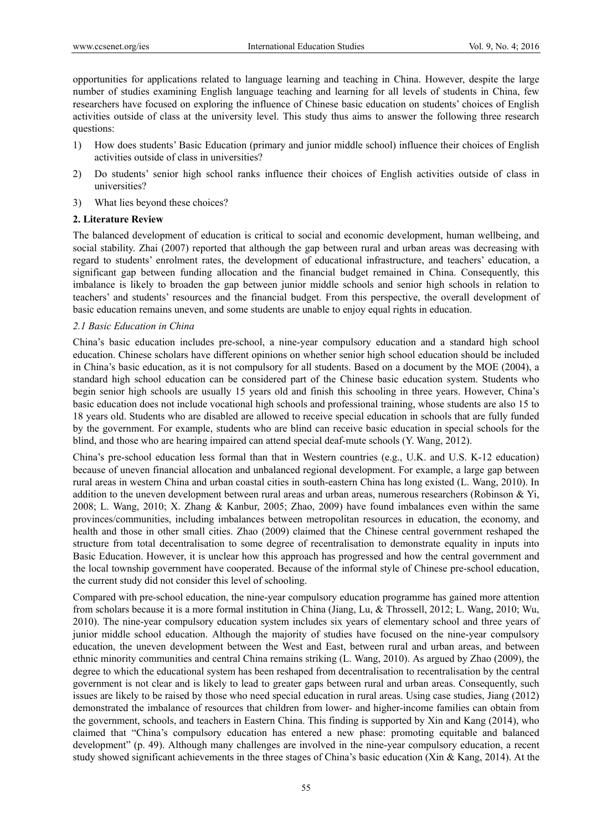opportunities for applications related to language learning and teaching in China. However, despite the large number of studies examining English language teaching and learning for all levels of students in China, few researchers have focused on exploring the influence of Chinese basic education on students' choices of English activities outside of class at the university level. This study thus aims to answer the following three research questions:

- 1) How does students' Basic Education (primary and junior middle school) influence their choices of English activities outside of class in universities?
- 2) Do students' senior high school ranks influence their choices of English activities outside of class in universities?
- 3) What lies beyond these choices?

## **2. Literature Review**

The balanced development of education is critical to social and economic development, human wellbeing, and social stability. Zhai (2007) reported that although the gap between rural and urban areas was decreasing with regard to students' enrolment rates, the development of educational infrastructure, and teachers' education, a significant gap between funding allocation and the financial budget remained in China. Consequently, this imbalance is likely to broaden the gap between junior middle schools and senior high schools in relation to teachers' and students' resources and the financial budget. From this perspective, the overall development of basic education remains uneven, and some students are unable to enjoy equal rights in education.

#### *2.1 Basic Education in China*

China's basic education includes pre-school, a nine-year compulsory education and a standard high school education. Chinese scholars have different opinions on whether senior high school education should be included in China's basic education, as it is not compulsory for all students. Based on a document by the MOE (2004), a standard high school education can be considered part of the Chinese basic education system. Students who begin senior high schools are usually 15 years old and finish this schooling in three years. However, China's basic education does not include vocational high schools and professional training, whose students are also 15 to 18 years old. Students who are disabled are allowed to receive special education in schools that are fully funded by the government. For example, students who are blind can receive basic education in special schools for the blind, and those who are hearing impaired can attend special deaf-mute schools (Y. Wang, 2012).

China's pre-school education less formal than that in Western countries (e.g., U.K. and U.S. K-12 education) because of uneven financial allocation and unbalanced regional development. For example, a large gap between rural areas in western China and urban coastal cities in south-eastern China has long existed (L. Wang, 2010). In addition to the uneven development between rural areas and urban areas, numerous researchers (Robinson & Yi, 2008; L. Wang, 2010; X. Zhang & Kanbur, 2005; Zhao, 2009) have found imbalances even within the same provinces/communities, including imbalances between metropolitan resources in education, the economy, and health and those in other small cities. Zhao (2009) claimed that the Chinese central government reshaped the structure from total decentralisation to some degree of recentralisation to demonstrate equality in inputs into Basic Education. However, it is unclear how this approach has progressed and how the central government and the local township government have cooperated. Because of the informal style of Chinese pre-school education, the current study did not consider this level of schooling.

Compared with pre-school education, the nine-year compulsory education programme has gained more attention from scholars because it is a more formal institution in China (Jiang, Lu, & Throssell, 2012; L. Wang, 2010; Wu, 2010). The nine-year compulsory education system includes six years of elementary school and three years of junior middle school education. Although the majority of studies have focused on the nine-year compulsory education, the uneven development between the West and East, between rural and urban areas, and between ethnic minority communities and central China remains striking (L. Wang, 2010). As argued by Zhao (2009), the degree to which the educational system has been reshaped from decentralisation to recentralisation by the central government is not clear and is likely to lead to greater gaps between rural and urban areas. Consequently, such issues are likely to be raised by those who need special education in rural areas. Using case studies, Jiang (2012) demonstrated the imbalance of resources that children from lower- and higher-income families can obtain from the government, schools, and teachers in Eastern China. This finding is supported by Xin and Kang (2014), who claimed that "China's compulsory education has entered a new phase: promoting equitable and balanced development" (p. 49). Although many challenges are involved in the nine-year compulsory education, a recent study showed significant achievements in the three stages of China's basic education (Xin & Kang, 2014). At the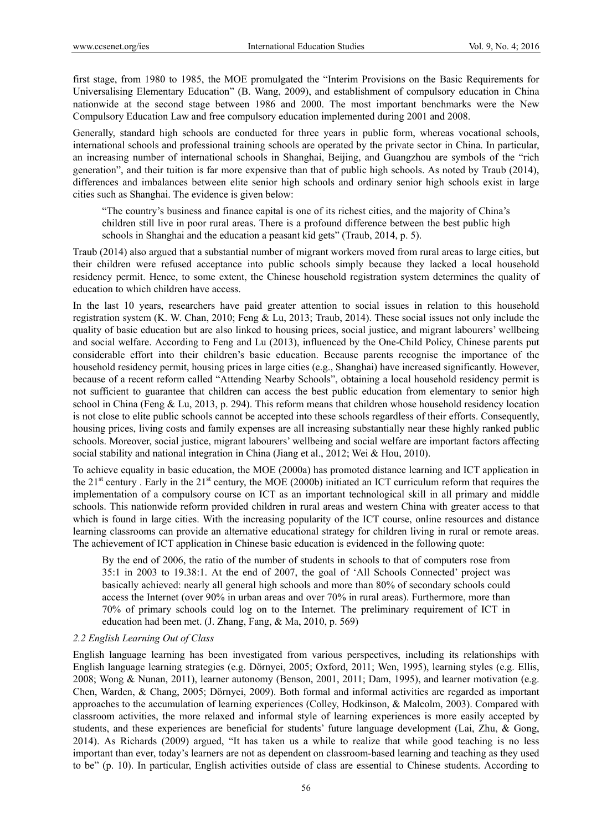first stage, from 1980 to 1985, the MOE promulgated the "Interim Provisions on the Basic Requirements for Universalising Elementary Education" (B. Wang, 2009), and establishment of compulsory education in China nationwide at the second stage between 1986 and 2000. The most important benchmarks were the New Compulsory Education Law and free compulsory education implemented during 2001 and 2008.

Generally, standard high schools are conducted for three years in public form, whereas vocational schools, international schools and professional training schools are operated by the private sector in China. In particular, an increasing number of international schools in Shanghai, Beijing, and Guangzhou are symbols of the "rich generation", and their tuition is far more expensive than that of public high schools. As noted by Traub (2014), differences and imbalances between elite senior high schools and ordinary senior high schools exist in large cities such as Shanghai. The evidence is given below:

"The country's business and finance capital is one of its richest cities, and the majority of China's children still live in poor rural areas. There is a profound difference between the best public high schools in Shanghai and the education a peasant kid gets" (Traub, 2014, p. 5).

Traub (2014) also argued that a substantial number of migrant workers moved from rural areas to large cities, but their children were refused acceptance into public schools simply because they lacked a local household residency permit. Hence, to some extent, the Chinese household registration system determines the quality of education to which children have access.

In the last 10 years, researchers have paid greater attention to social issues in relation to this household registration system (K. W. Chan, 2010; Feng & Lu, 2013; Traub, 2014). These social issues not only include the quality of basic education but are also linked to housing prices, social justice, and migrant labourers' wellbeing and social welfare. According to Feng and Lu (2013), influenced by the One-Child Policy, Chinese parents put considerable effort into their children's basic education. Because parents recognise the importance of the household residency permit, housing prices in large cities (e.g., Shanghai) have increased significantly. However, because of a recent reform called "Attending Nearby Schools", obtaining a local household residency permit is not sufficient to guarantee that children can access the best public education from elementary to senior high school in China (Feng & Lu, 2013, p. 294). This reform means that children whose household residency location is not close to elite public schools cannot be accepted into these schools regardless of their efforts. Consequently, housing prices, living costs and family expenses are all increasing substantially near these highly ranked public schools. Moreover, social justice, migrant labourers' wellbeing and social welfare are important factors affecting social stability and national integration in China (Jiang et al., 2012; Wei & Hou, 2010).

To achieve equality in basic education, the MOE (2000a) has promoted distance learning and ICT application in the 21<sup>st</sup> century . Early in the 21<sup>st</sup> century, the MOE (2000b) initiated an ICT curriculum reform that requires the implementation of a compulsory course on ICT as an important technological skill in all primary and middle schools. This nationwide reform provided children in rural areas and western China with greater access to that which is found in large cities. With the increasing popularity of the ICT course, online resources and distance learning classrooms can provide an alternative educational strategy for children living in rural or remote areas. The achievement of ICT application in Chinese basic education is evidenced in the following quote:

By the end of 2006, the ratio of the number of students in schools to that of computers rose from 35:1 in 2003 to 19.38:1. At the end of 2007, the goal of 'All Schools Connected' project was basically achieved: nearly all general high schools and more than 80% of secondary schools could access the Internet (over 90% in urban areas and over 70% in rural areas). Furthermore, more than 70% of primary schools could log on to the Internet. The preliminary requirement of ICT in education had been met. (J. Zhang, Fang, & Ma, 2010, p. 569)

## *2.2 English Learning Out of Class*

English language learning has been investigated from various perspectives, including its relationships with English language learning strategies (e.g. Dörnyei, 2005; Oxford, 2011; Wen, 1995), learning styles (e.g. Ellis, 2008; Wong & Nunan, 2011), learner autonomy (Benson, 2001, 2011; Dam, 1995), and learner motivation (e.g. Chen, Warden, & Chang, 2005; Dörnyei, 2009). Both formal and informal activities are regarded as important approaches to the accumulation of learning experiences (Colley, Hodkinson, & Malcolm, 2003). Compared with classroom activities, the more relaxed and informal style of learning experiences is more easily accepted by students, and these experiences are beneficial for students' future language development (Lai, Zhu, & Gong, 2014). As Richards (2009) argued, "It has taken us a while to realize that while good teaching is no less important than ever, today's learners are not as dependent on classroom-based learning and teaching as they used to be" (p. 10). In particular, English activities outside of class are essential to Chinese students. According to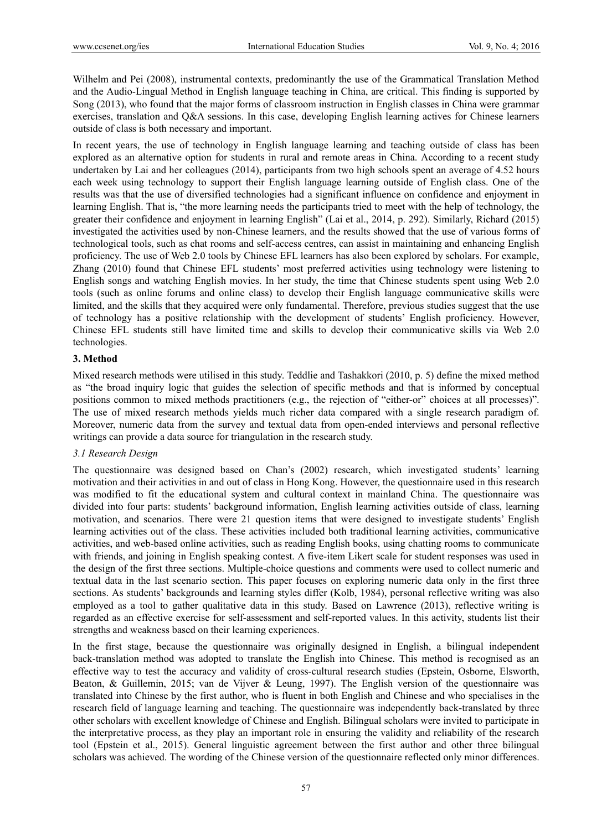Wilhelm and Pei (2008), instrumental contexts, predominantly the use of the Grammatical Translation Method and the Audio-Lingual Method in English language teaching in China, are critical. This finding is supported by Song (2013), who found that the major forms of classroom instruction in English classes in China were grammar exercises, translation and Q&A sessions. In this case, developing English learning actives for Chinese learners outside of class is both necessary and important.

In recent years, the use of technology in English language learning and teaching outside of class has been explored as an alternative option for students in rural and remote areas in China. According to a recent study undertaken by Lai and her colleagues (2014), participants from two high schools spent an average of 4.52 hours each week using technology to support their English language learning outside of English class. One of the results was that the use of diversified technologies had a significant influence on confidence and enjoyment in learning English. That is, "the more learning needs the participants tried to meet with the help of technology, the greater their confidence and enjoyment in learning English" (Lai et al., 2014, p. 292). Similarly, Richard (2015) investigated the activities used by non-Chinese learners, and the results showed that the use of various forms of technological tools, such as chat rooms and self-access centres, can assist in maintaining and enhancing English proficiency. The use of Web 2.0 tools by Chinese EFL learners has also been explored by scholars. For example, Zhang (2010) found that Chinese EFL students' most preferred activities using technology were listening to English songs and watching English movies. In her study, the time that Chinese students spent using Web 2.0 tools (such as online forums and online class) to develop their English language communicative skills were limited, and the skills that they acquired were only fundamental. Therefore, previous studies suggest that the use of technology has a positive relationship with the development of students' English proficiency. However, Chinese EFL students still have limited time and skills to develop their communicative skills via Web 2.0 technologies.

#### **3. Method**

Mixed research methods were utilised in this study. Teddlie and Tashakkori (2010, p. 5) define the mixed method as "the broad inquiry logic that guides the selection of specific methods and that is informed by conceptual positions common to mixed methods practitioners (e.g., the rejection of "either-or" choices at all processes)". The use of mixed research methods yields much richer data compared with a single research paradigm of. Moreover, numeric data from the survey and textual data from open-ended interviews and personal reflective writings can provide a data source for triangulation in the research study.

## *3.1 Research Design*

The questionnaire was designed based on Chan's (2002) research, which investigated students' learning motivation and their activities in and out of class in Hong Kong. However, the questionnaire used in this research was modified to fit the educational system and cultural context in mainland China. The questionnaire was divided into four parts: students' background information, English learning activities outside of class, learning motivation, and scenarios. There were 21 question items that were designed to investigate students' English learning activities out of the class. These activities included both traditional learning activities, communicative activities, and web-based online activities, such as reading English books, using chatting rooms to communicate with friends, and joining in English speaking contest. A five-item Likert scale for student responses was used in the design of the first three sections. Multiple-choice questions and comments were used to collect numeric and textual data in the last scenario section. This paper focuses on exploring numeric data only in the first three sections. As students' backgrounds and learning styles differ (Kolb, 1984), personal reflective writing was also employed as a tool to gather qualitative data in this study. Based on Lawrence (2013), reflective writing is regarded as an effective exercise for self-assessment and self-reported values. In this activity, students list their strengths and weakness based on their learning experiences.

In the first stage, because the questionnaire was originally designed in English, a bilingual independent back-translation method was adopted to translate the English into Chinese. This method is recognised as an effective way to test the accuracy and validity of cross-cultural research studies (Epstein, Osborne, Elsworth, Beaton, & Guillemin, 2015; van de Vijver & Leung, 1997). The English version of the questionnaire was translated into Chinese by the first author, who is fluent in both English and Chinese and who specialises in the research field of language learning and teaching. The questionnaire was independently back-translated by three other scholars with excellent knowledge of Chinese and English. Bilingual scholars were invited to participate in the interpretative process, as they play an important role in ensuring the validity and reliability of the research tool (Epstein et al., 2015). General linguistic agreement between the first author and other three bilingual scholars was achieved. The wording of the Chinese version of the questionnaire reflected only minor differences.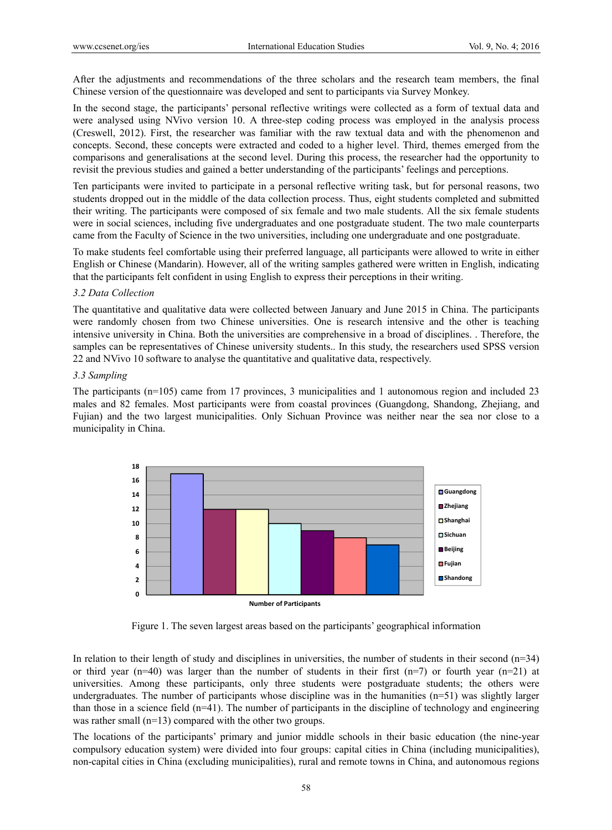After the adjustments and recommendations of the three scholars and the research team members, the final Chinese version of the questionnaire was developed and sent to participants via Survey Monkey.

In the second stage, the participants' personal reflective writings were collected as a form of textual data and were analysed using NVivo version 10. A three-step coding process was employed in the analysis process (Creswell, 2012). First, the researcher was familiar with the raw textual data and with the phenomenon and concepts. Second, these concepts were extracted and coded to a higher level. Third, themes emerged from the comparisons and generalisations at the second level. During this process, the researcher had the opportunity to revisit the previous studies and gained a better understanding of the participants' feelings and perceptions.

Ten participants were invited to participate in a personal reflective writing task, but for personal reasons, two students dropped out in the middle of the data collection process. Thus, eight students completed and submitted their writing. The participants were composed of six female and two male students. All the six female students were in social sciences, including five undergraduates and one postgraduate student. The two male counterparts came from the Faculty of Science in the two universities, including one undergraduate and one postgraduate.

To make students feel comfortable using their preferred language, all participants were allowed to write in either English or Chinese (Mandarin). However, all of the writing samples gathered were written in English, indicating that the participants felt confident in using English to express their perceptions in their writing.

## *3.2 Data Collection*

The quantitative and qualitative data were collected between January and June 2015 in China. The participants were randomly chosen from two Chinese universities. One is research intensive and the other is teaching intensive university in China. Both the universities are comprehensive in a broad of disciplines. . Therefore, the samples can be representatives of Chinese university students.. In this study, the researchers used SPSS version 22 and NVivo 10 software to analyse the quantitative and qualitative data, respectively.

#### *3.3 Sampling*

The participants (n=105) came from 17 provinces, 3 municipalities and 1 autonomous region and included 23 males and 82 females. Most participants were from coastal provinces (Guangdong, Shandong, Zhejiang, and Fujian) and the two largest municipalities. Only Sichuan Province was neither near the sea nor close to a municipality in China.



Figure 1. The seven largest areas based on the participants' geographical information

In relation to their length of study and disciplines in universities, the number of students in their second  $(n=34)$ or third year (n=40) was larger than the number of students in their first (n=7) or fourth year (n=21) at universities. Among these participants, only three students were postgraduate students; the others were undergraduates. The number of participants whose discipline was in the humanities (n=51) was slightly larger than those in a science field (n=41). The number of participants in the discipline of technology and engineering was rather small (n=13) compared with the other two groups.

The locations of the participants' primary and junior middle schools in their basic education (the nine-year compulsory education system) were divided into four groups: capital cities in China (including municipalities), non-capital cities in China (excluding municipalities), rural and remote towns in China, and autonomous regions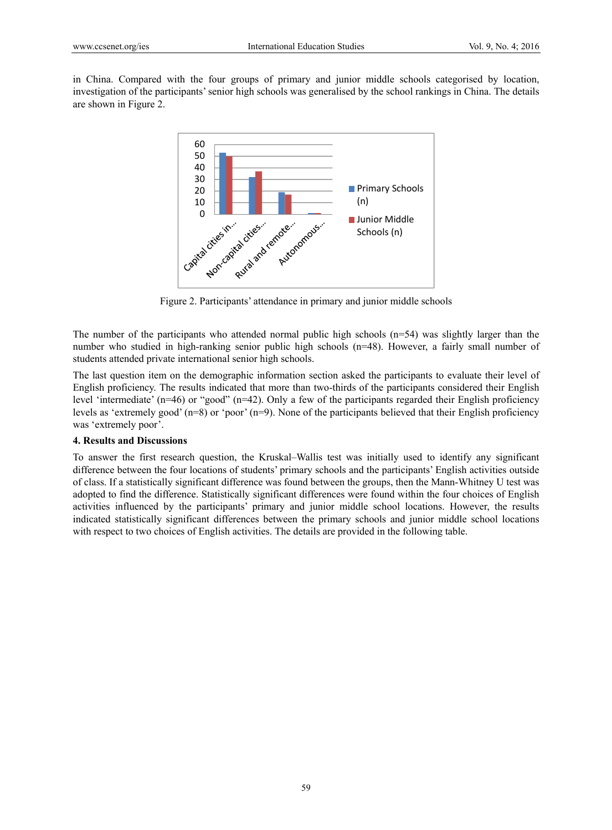in China. Compared with the four groups of primary and junior middle schools categorised by location, investigation of the participants' senior high schools was generalised by the school rankings in China. The details are shown in Figure 2.



Figure 2. Participants' attendance in primary and junior middle schools

The number of the participants who attended normal public high schools  $(n=54)$  was slightly larger than the number who studied in high-ranking senior public high schools (n=48). However, a fairly small number of students attended private international senior high schools.

The last question item on the demographic information section asked the participants to evaluate their level of English proficiency. The results indicated that more than two-thirds of the participants considered their English level 'intermediate' (n=46) or "good" (n=42). Only a few of the participants regarded their English proficiency levels as 'extremely good' (n=8) or 'poor' (n=9). None of the participants believed that their English proficiency was 'extremely poor'.

## **4. Results and Discussions**

To answer the first research question, the Kruskal–Wallis test was initially used to identify any significant difference between the four locations of students' primary schools and the participants' English activities outside of class. If a statistically significant difference was found between the groups, then the Mann-Whitney U test was adopted to find the difference. Statistically significant differences were found within the four choices of English activities influenced by the participants' primary and junior middle school locations. However, the results indicated statistically significant differences between the primary schools and junior middle school locations with respect to two choices of English activities. The details are provided in the following table.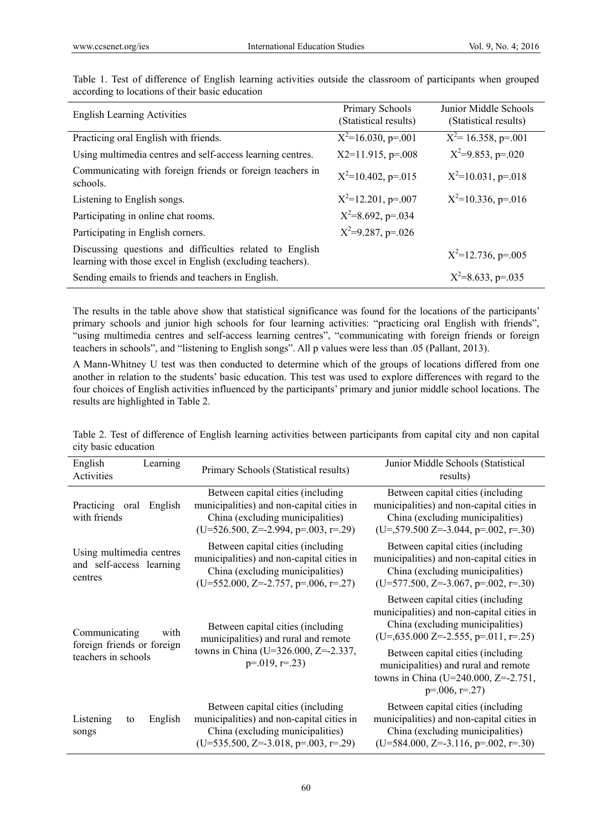| <b>English Learning Activities</b>                                                                                     | Primary Schools<br>(Statistical results) | Junior Middle Schools<br>(Statistical results) |
|------------------------------------------------------------------------------------------------------------------------|------------------------------------------|------------------------------------------------|
| Practicing oral English with friends.                                                                                  | $X^2=16.030$ , p=.001                    | $X^2$ = 16.358, p=.001                         |
| Using multimedia centres and self-access learning centres.                                                             | $X2=11.915$ , p=.008                     | $X^2=9.853$ , p=.020                           |
| Communicating with foreign friends or foreign teachers in<br>schools.                                                  | $X^2=10.402$ , p=.015                    | $X^2=10.031$ , p=.018                          |
| Listening to English songs.                                                                                            | $X^2=12.201$ , p=.007                    | $X^2=10.336$ , p=.016                          |
| Participating in online chat rooms.                                                                                    | $X^2=8.692$ , p=.034                     |                                                |
| Participating in English corners.                                                                                      | $X^2=9.287$ , p=.026                     |                                                |
| Discussing questions and difficulties related to English<br>learning with those excel in English (excluding teachers). |                                          | $X^2=12.736$ , p=.005                          |
| Sending emails to friends and teachers in English.                                                                     |                                          | $X^2=8.633$ , p=.035                           |

Table 1. Test of difference of English learning activities outside the classroom of participants when grouped according to locations of their basic education

The results in the table above show that statistical significance was found for the locations of the participants' primary schools and junior high schools for four learning activities: "practicing oral English with friends", "using multimedia centres and self-access learning centres", "communicating with foreign friends or foreign teachers in schools", and "listening to English songs". All p values were less than .05 (Pallant, 2013).

A Mann-Whitney U test was then conducted to determine which of the groups of locations differed from one another in relation to the students' basic education. This test was used to explore differences with regard to the four choices of English activities influenced by the participants' primary and junior middle school locations. The results are highlighted in Table 2.

Table 2. Test of difference of English learning activities between participants from capital city and non capital city basic education

| English<br>Activities                                           | Learning                                                                                                                              | Primary Schools (Statistical results)                                                                                                                        | Junior Middle Schools (Statistical<br>results)                                                                                                                |
|-----------------------------------------------------------------|---------------------------------------------------------------------------------------------------------------------------------------|--------------------------------------------------------------------------------------------------------------------------------------------------------------|---------------------------------------------------------------------------------------------------------------------------------------------------------------|
| Practicing<br>oral<br>with friends                              | English                                                                                                                               | Between capital cities (including<br>municipalities) and non-capital cities in<br>China (excluding municipalities)<br>$(U=526.500, Z=-2.994, p=.003, r=.29)$ | Between capital cities (including<br>municipalities) and non-capital cities in<br>China (excluding municipalities)<br>$(U=579.500 Z=3.044, p=.002, r=.30)$    |
| Using multimedia centres<br>and self-access learning<br>centres |                                                                                                                                       | Between capital cities (including<br>municipalities) and non-capital cities in<br>China (excluding municipalities)<br>$(U=552.000, Z=-2.757, p=.006, r=.27)$ | Between capital cities (including)<br>municipalities) and non-capital cities in<br>China (excluding municipalities)<br>$(U=577.500, Z=-3.067, p=.002, r=.30)$ |
| Communicating<br>with                                           |                                                                                                                                       | Between capital cities (including<br>municipalities) and rural and remote<br>towns in China (U=326.000, Z=-2.337,<br>$p=.019, r=.23$                         | Between capital cities (including)<br>municipalities) and non-capital cities in<br>China (excluding municipalities)<br>$(U=635.000 Z=-2.555, p=.011, r=.25)$  |
| foreign friends or foreign<br>teachers in schools               | Between capital cities (including)<br>municipalities) and rural and remote<br>towns in China (U=240.000, Z=-2.751,<br>$p=.006, r=.27$ |                                                                                                                                                              |                                                                                                                                                               |
| Listening<br>to<br>songs                                        | English                                                                                                                               | Between capital cities (including<br>municipalities) and non-capital cities in<br>China (excluding municipalities)<br>$(U=535.500, Z=-3.018, p=.003, r=.29)$ | Between capital cities (including<br>municipalities) and non-capital cities in<br>China (excluding municipalities)<br>$(U=584.000, Z=-3.116, p=.002, r=.30)$  |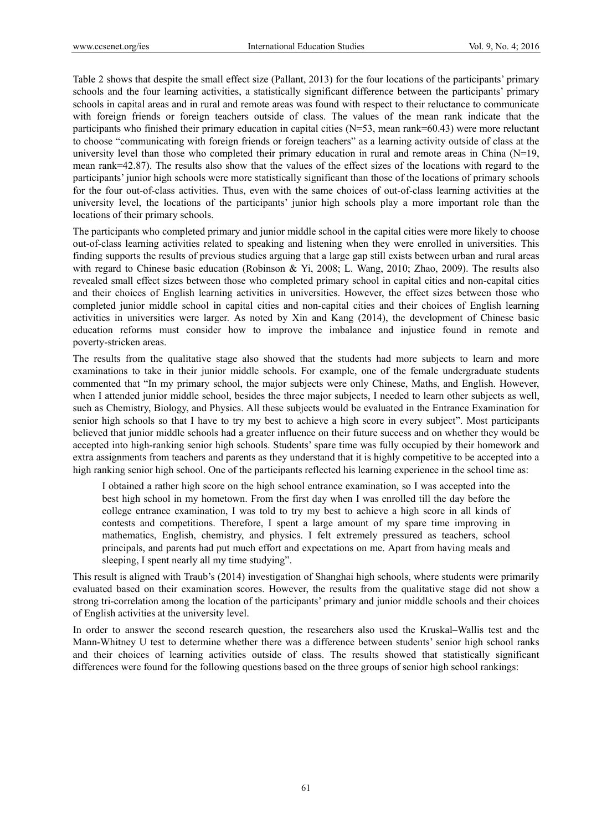Table 2 shows that despite the small effect size (Pallant, 2013) for the four locations of the participants' primary schools and the four learning activities, a statistically significant difference between the participants' primary schools in capital areas and in rural and remote areas was found with respect to their reluctance to communicate with foreign friends or foreign teachers outside of class. The values of the mean rank indicate that the participants who finished their primary education in capital cities (N=53, mean rank=60.43) were more reluctant to choose "communicating with foreign friends or foreign teachers" as a learning activity outside of class at the university level than those who completed their primary education in rural and remote areas in China (N=19, mean rank=42.87). The results also show that the values of the effect sizes of the locations with regard to the participants' junior high schools were more statistically significant than those of the locations of primary schools for the four out-of-class activities. Thus, even with the same choices of out-of-class learning activities at the university level, the locations of the participants' junior high schools play a more important role than the locations of their primary schools.

The participants who completed primary and junior middle school in the capital cities were more likely to choose out-of-class learning activities related to speaking and listening when they were enrolled in universities. This finding supports the results of previous studies arguing that a large gap still exists between urban and rural areas with regard to Chinese basic education (Robinson & Yi, 2008; L. Wang, 2010; Zhao, 2009). The results also revealed small effect sizes between those who completed primary school in capital cities and non-capital cities and their choices of English learning activities in universities. However, the effect sizes between those who completed junior middle school in capital cities and non-capital cities and their choices of English learning activities in universities were larger. As noted by Xin and Kang (2014), the development of Chinese basic education reforms must consider how to improve the imbalance and injustice found in remote and poverty-stricken areas.

The results from the qualitative stage also showed that the students had more subjects to learn and more examinations to take in their junior middle schools. For example, one of the female undergraduate students commented that "In my primary school, the major subjects were only Chinese, Maths, and English. However, when I attended junior middle school, besides the three major subjects. I needed to learn other subjects as well, such as Chemistry, Biology, and Physics. All these subjects would be evaluated in the Entrance Examination for senior high schools so that I have to try my best to achieve a high score in every subject". Most participants believed that junior middle schools had a greater influence on their future success and on whether they would be accepted into high-ranking senior high schools. Students' spare time was fully occupied by their homework and extra assignments from teachers and parents as they understand that it is highly competitive to be accepted into a high ranking senior high school. One of the participants reflected his learning experience in the school time as:

I obtained a rather high score on the high school entrance examination, so I was accepted into the best high school in my hometown. From the first day when I was enrolled till the day before the college entrance examination, I was told to try my best to achieve a high score in all kinds of contests and competitions. Therefore, I spent a large amount of my spare time improving in mathematics, English, chemistry, and physics. I felt extremely pressured as teachers, school principals, and parents had put much effort and expectations on me. Apart from having meals and sleeping, I spent nearly all my time studying".

This result is aligned with Traub's (2014) investigation of Shanghai high schools, where students were primarily evaluated based on their examination scores. However, the results from the qualitative stage did not show a strong tri-correlation among the location of the participants' primary and junior middle schools and their choices of English activities at the university level.

In order to answer the second research question, the researchers also used the Kruskal–Wallis test and the Mann-Whitney U test to determine whether there was a difference between students' senior high school ranks and their choices of learning activities outside of class. The results showed that statistically significant differences were found for the following questions based on the three groups of senior high school rankings: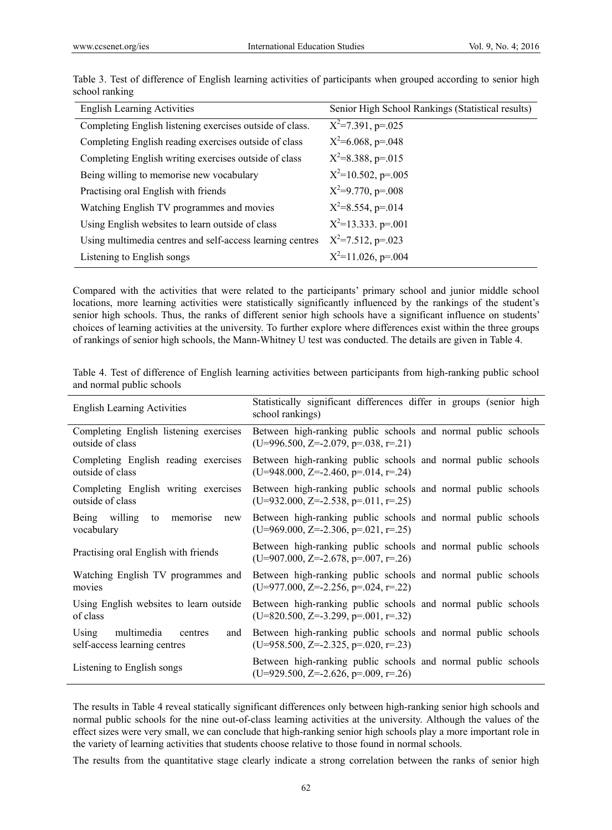| <b>English Learning Activities</b>                        | Senior High School Rankings (Statistical results) |
|-----------------------------------------------------------|---------------------------------------------------|
| Completing English listening exercises outside of class.  | $X^2=7.391$ , p=.025                              |
| Completing English reading exercises outside of class     | $X^2=6.068$ , p=.048                              |
| Completing English writing exercises outside of class     | $X^2=8.388$ , p=.015                              |
| Being willing to memorise new vocabulary                  | $X^2=10.502$ , p=.005                             |
| Practising oral English with friends                      | $X^2=9.770$ , p=.008                              |
| Watching English TV programmes and movies                 | $X^2=8.554$ , p=.014                              |
| Using English websites to learn outside of class          | $X^2=13.333. p=.001$                              |
| Using multimedia centres and self-access learning centres | $X^2=7.512$ , p=.023                              |
| Listening to English songs                                | $X^2=11.026$ , p=.004                             |

Table 3. Test of difference of English learning activities of participants when grouped according to senior high school ranking

Compared with the activities that were related to the participants' primary school and junior middle school locations, more learning activities were statistically significantly influenced by the rankings of the student's senior high schools. Thus, the ranks of different senior high schools have a significant influence on students' choices of learning activities at the university. To further explore where differences exist within the three groups of rankings of senior high schools, the Mann-Whitney U test was conducted. The details are given in Table 4.

| <b>English Learning Activities</b>                                    | Statistically significant differences differ in groups (senior high<br>school rankings)                 |
|-----------------------------------------------------------------------|---------------------------------------------------------------------------------------------------------|
| Completing English listening exercises                                | Between high-ranking public schools and normal public schools                                           |
| outside of class                                                      | $(U=996.500, Z=-2.079, p=.038, r=.21)$                                                                  |
| Completing English reading exercises                                  | Between high-ranking public schools and normal public schools                                           |
| outside of class                                                      | $(U=948.000, Z=-2.460, p=.014, r=.24)$                                                                  |
| Completing English writing exercises                                  | Between high-ranking public schools and normal public schools                                           |
| outside of class                                                      | $(U=932.000, Z=-2.538, p=.011, r=.25)$                                                                  |
| Being willing<br>to memorise<br>new<br>vocabulary                     | Between high-ranking public schools and normal public schools<br>$(U=969.000, Z=-2.306, p=.021, r=.25)$ |
| Practising oral English with friends                                  | Between high-ranking public schools and normal public schools<br>$(U=907.000, Z=-2.678, p=.007, r=.26)$ |
| Watching English TV programmes and                                    | Between high-ranking public schools and normal public schools                                           |
| movies                                                                | $(U=977.000, Z=-2.256, p=.024, r=.22)$                                                                  |
| Using English websites to learn outside                               | Between high-ranking public schools and normal public schools                                           |
| of class                                                              | $(U=820.500, Z=-3.299, p=.001, r=.32)$                                                                  |
| Using<br>multimedia<br>centres<br>and<br>self-access learning centres | Between high-ranking public schools and normal public schools<br>$(U=958.500, Z=-2.325, p=.020, r=.23)$ |
| Listening to English songs                                            | Between high-ranking public schools and normal public schools<br>$(U=929.500, Z=-2.626, p=.009, r=.26)$ |

Table 4. Test of difference of English learning activities between participants from high-ranking public school and normal public schools

The results in Table 4 reveal statically significant differences only between high-ranking senior high schools and normal public schools for the nine out-of-class learning activities at the university. Although the values of the effect sizes were very small, we can conclude that high-ranking senior high schools play a more important role in the variety of learning activities that students choose relative to those found in normal schools.

The results from the quantitative stage clearly indicate a strong correlation between the ranks of senior high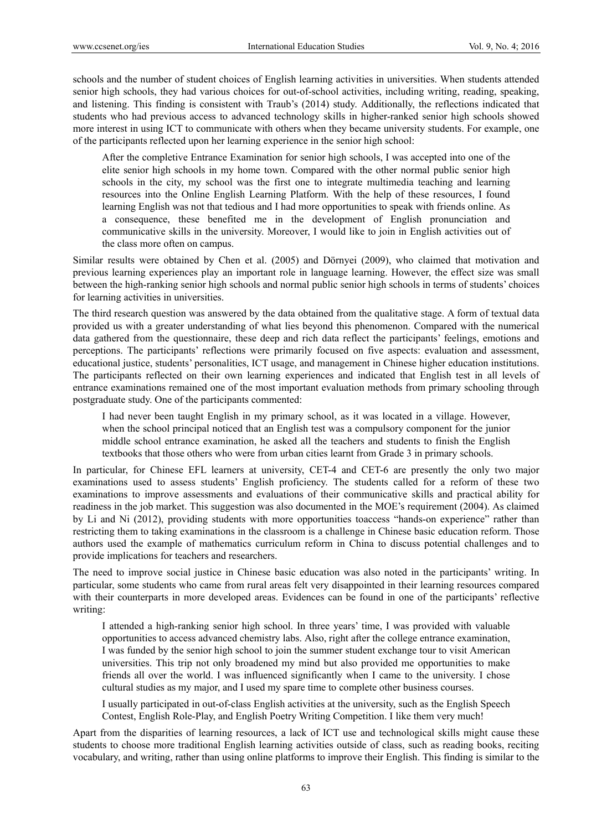schools and the number of student choices of English learning activities in universities. When students attended senior high schools, they had various choices for out-of-school activities, including writing, reading, speaking, and listening. This finding is consistent with Traub's (2014) study. Additionally, the reflections indicated that students who had previous access to advanced technology skills in higher-ranked senior high schools showed more interest in using ICT to communicate with others when they became university students. For example, one of the participants reflected upon her learning experience in the senior high school:

After the completive Entrance Examination for senior high schools, I was accepted into one of the elite senior high schools in my home town. Compared with the other normal public senior high schools in the city, my school was the first one to integrate multimedia teaching and learning resources into the Online English Learning Platform. With the help of these resources, I found learning English was not that tedious and I had more opportunities to speak with friends online. As a consequence, these benefited me in the development of English pronunciation and communicative skills in the university. Moreover, I would like to join in English activities out of the class more often on campus.

Similar results were obtained by Chen et al. (2005) and Dörnyei (2009), who claimed that motivation and previous learning experiences play an important role in language learning. However, the effect size was small between the high-ranking senior high schools and normal public senior high schools in terms of students' choices for learning activities in universities.

The third research question was answered by the data obtained from the qualitative stage. A form of textual data provided us with a greater understanding of what lies beyond this phenomenon. Compared with the numerical data gathered from the questionnaire, these deep and rich data reflect the participants' feelings, emotions and perceptions. The participants' reflections were primarily focused on five aspects: evaluation and assessment, educational justice, students' personalities, ICT usage, and management in Chinese higher education institutions. The participants reflected on their own learning experiences and indicated that English test in all levels of entrance examinations remained one of the most important evaluation methods from primary schooling through postgraduate study. One of the participants commented:

I had never been taught English in my primary school, as it was located in a village. However, when the school principal noticed that an English test was a compulsory component for the junior middle school entrance examination, he asked all the teachers and students to finish the English textbooks that those others who were from urban cities learnt from Grade 3 in primary schools.

In particular, for Chinese EFL learners at university, CET-4 and CET-6 are presently the only two major examinations used to assess students' English proficiency. The students called for a reform of these two examinations to improve assessments and evaluations of their communicative skills and practical ability for readiness in the job market. This suggestion was also documented in the MOE's requirement (2004). As claimed by Li and Ni (2012), providing students with more opportunities toaccess "hands-on experience" rather than restricting them to taking examinations in the classroom is a challenge in Chinese basic education reform. Those authors used the example of mathematics curriculum reform in China to discuss potential challenges and to provide implications for teachers and researchers.

The need to improve social justice in Chinese basic education was also noted in the participants' writing. In particular, some students who came from rural areas felt very disappointed in their learning resources compared with their counterparts in more developed areas. Evidences can be found in one of the participants' reflective writing:

I attended a high-ranking senior high school. In three years' time, I was provided with valuable opportunities to access advanced chemistry labs. Also, right after the college entrance examination, I was funded by the senior high school to join the summer student exchange tour to visit American universities. This trip not only broadened my mind but also provided me opportunities to make friends all over the world. I was influenced significantly when I came to the university. I chose cultural studies as my major, and I used my spare time to complete other business courses.

I usually participated in out-of-class English activities at the university, such as the English Speech Contest, English Role-Play, and English Poetry Writing Competition. I like them very much!

Apart from the disparities of learning resources, a lack of ICT use and technological skills might cause these students to choose more traditional English learning activities outside of class, such as reading books, reciting vocabulary, and writing, rather than using online platforms to improve their English. This finding is similar to the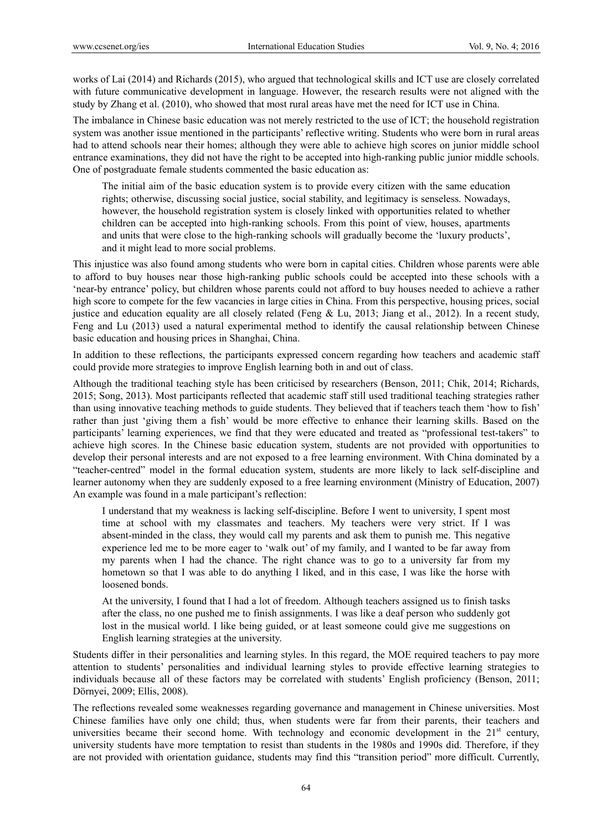works of Lai (2014) and Richards (2015), who argued that technological skills and ICT use are closely correlated with future communicative development in language. However, the research results were not aligned with the study by Zhang et al. (2010), who showed that most rural areas have met the need for ICT use in China.

The imbalance in Chinese basic education was not merely restricted to the use of ICT; the household registration system was another issue mentioned in the participants' reflective writing. Students who were born in rural areas had to attend schools near their homes; although they were able to achieve high scores on junior middle school entrance examinations, they did not have the right to be accepted into high-ranking public junior middle schools. One of postgraduate female students commented the basic education as:

The initial aim of the basic education system is to provide every citizen with the same education rights; otherwise, discussing social justice, social stability, and legitimacy is senseless. Nowadays, however, the household registration system is closely linked with opportunities related to whether children can be accepted into high-ranking schools. From this point of view, houses, apartments and units that were close to the high-ranking schools will gradually become the 'luxury products', and it might lead to more social problems.

This injustice was also found among students who were born in capital cities. Children whose parents were able to afford to buy houses near those high-ranking public schools could be accepted into these schools with a 'near-by entrance' policy, but children whose parents could not afford to buy houses needed to achieve a rather high score to compete for the few vacancies in large cities in China. From this perspective, housing prices, social justice and education equality are all closely related (Feng & Lu, 2013; Jiang et al., 2012). In a recent study, Feng and Lu (2013) used a natural experimental method to identify the causal relationship between Chinese basic education and housing prices in Shanghai, China.

In addition to these reflections, the participants expressed concern regarding how teachers and academic staff could provide more strategies to improve English learning both in and out of class.

Although the traditional teaching style has been criticised by researchers (Benson, 2011; Chik, 2014; Richards, 2015; Song, 2013). Most participants reflected that academic staff still used traditional teaching strategies rather than using innovative teaching methods to guide students. They believed that if teachers teach them 'how to fish' rather than just 'giving them a fish' would be more effective to enhance their learning skills. Based on the participants' learning experiences, we find that they were educated and treated as "professional test-takers" to achieve high scores. In the Chinese basic education system, students are not provided with opportunities to develop their personal interests and are not exposed to a free learning environment. With China dominated by a "teacher-centred" model in the formal education system, students are more likely to lack self-discipline and learner autonomy when they are suddenly exposed to a free learning environment (Ministry of Education, 2007) An example was found in a male participant's reflection:

I understand that my weakness is lacking self-discipline. Before I went to university, I spent most time at school with my classmates and teachers. My teachers were very strict. If I was absent-minded in the class, they would call my parents and ask them to punish me. This negative experience led me to be more eager to 'walk out' of my family, and I wanted to be far away from my parents when I had the chance. The right chance was to go to a university far from my hometown so that I was able to do anything I liked, and in this case, I was like the horse with loosened bonds.

At the university, I found that I had a lot of freedom. Although teachers assigned us to finish tasks after the class, no one pushed me to finish assignments. I was like a deaf person who suddenly got lost in the musical world. I like being guided, or at least someone could give me suggestions on English learning strategies at the university.

Students differ in their personalities and learning styles. In this regard, the MOE required teachers to pay more attention to students' personalities and individual learning styles to provide effective learning strategies to individuals because all of these factors may be correlated with students' English proficiency (Benson, 2011; Dörnyei, 2009; Ellis, 2008).

The reflections revealed some weaknesses regarding governance and management in Chinese universities. Most Chinese families have only one child; thus, when students were far from their parents, their teachers and universities became their second home. With technology and economic development in the  $21<sup>st</sup>$  century, university students have more temptation to resist than students in the 1980s and 1990s did. Therefore, if they are not provided with orientation guidance, students may find this "transition period" more difficult. Currently,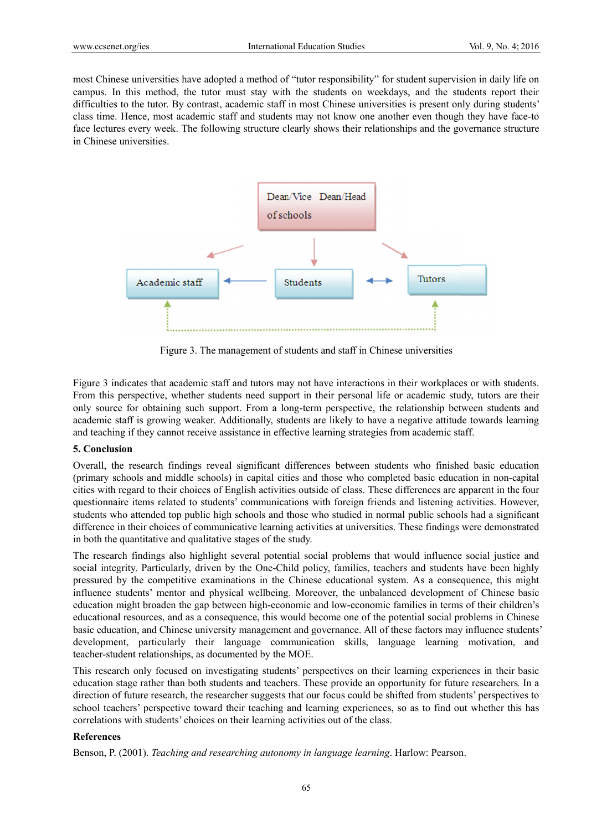most Chinese universities have adopted a method of "tutor responsibility" for student supervision in daily life on campus. In this method, the tutor must stay with the students on weekdays, and the students report their difficulties to the tutor. By contrast, academic staff in most Chinese universities is present only during students' class time. Hence, most academic staff and students may not know one another even though they have face-to face lectures every week. The following structure clearly shows their relationships and the governance structure in Chinese universities.



Figure 3. The management of students and staff in Chinese universities

Figure 3 indicates that academic staff and tutors may not have interactions in their workplaces or with students. From this perspective, whether students need support in their personal life or academic study, tutors are their only source for obtaining such support. From a long-term perspective, the relationship between students and academic staff is growing weaker. Additionally, students are likely to have a negative attitude towards learning and teaching if they cannot receive assistance in effective learning strategies from academic staff.

## **5. Conclus sion**

Overall, the research findings reveal significant differences between students who finished basic education (primary schools and middle schools) in capital cities and those who completed basic education in non-capital cities with regard to their choices of English activities outside of class. These differences are apparent in the four questionnaire items related to students' communications with foreign friends and listening activities. However, students who attended top public high schools and those who studied in normal public schools had a significant difference in their choices of communicative learning activities at universities. These findings were demonstrated in both the quantitative and qualitative stages of the study.

The research findings also highlight several potential social problems that would influence social justice and social integrity. Particularly, driven by the One-Child policy, families, teachers and students have been highly pressured by the competitive examinations in the Chinese educational system. As a consequence, this might influence students' mentor and physical wellbeing. Moreover, the unbalanced development of Chinese basic education might broaden the gap between high-economic and low-economic families in terms of their children's educational resources, and as a consequence, this would become one of the potential social problems in Chinese basic education, and Chinese university management and governance. All of these factors may influence students' development, particularly their language communication skills, language learning motivation, and teacher-student relationships, as documented by the MOE.

This research only focused on investigating students' perspectives on their learning experiences in their basic education stage rather than both students and teachers. These provide an opportunity for future researchers. In a direction of future research, the researcher suggests that our focus could be shifted from students' perspectives to school teachers' perspective toward their teaching and learning experiences, so as to find out whether this has correlations with students' choices on their learning activities out of the class.

## **Reference es**

Benson, P. (2001). *Teaching and researching autonomy in language learning*. Harlow: Pearson.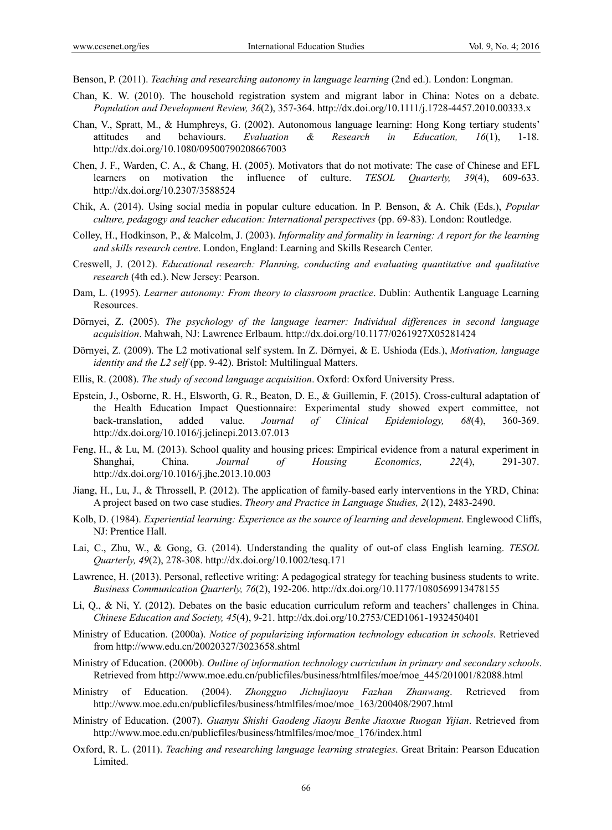Benson, P. (2011). *Teaching and researching autonomy in language learning* (2nd ed.). London: Longman.

- Chan, K. W. (2010). The household registration system and migrant labor in China: Notes on a debate. *Population and Development Review, 36*(2), 357-364. http://dx.doi.org/10.1111/j.1728-4457.2010.00333.x
- Chan, V., Spratt, M., & Humphreys, G. (2002). Autonomous language learning: Hong Kong tertiary students' attitudes and behaviours. *Evaluation & Research in Education, 16*(1), 1-18. http://dx.doi.org/10.1080/09500790208667003
- Chen, J. F., Warden, C. A., & Chang, H. (2005). Motivators that do not motivate: The case of Chinese and EFL learners on motivation the influence of culture. *TESOL Quarterly, 39*(4), 609-633. http://dx.doi.org/10.2307/3588524
- Chik, A. (2014). Using social media in popular culture education. In P. Benson, & A. Chik (Eds.), *Popular culture, pedagogy and teacher education: International perspectives* (pp. 69-83). London: Routledge.
- Colley, H., Hodkinson, P., & Malcolm, J. (2003). *Informality and formality in learning: A report for the learning and skills research centre*. London, England: Learning and Skills Research Center.
- Creswell, J. (2012). *Educational research: Planning, conducting and evaluating quantitative and qualitative research* (4th ed.). New Jersey: Pearson.
- Dam, L. (1995). *Learner autonomy: From theory to classroom practice*. Dublin: Authentik Language Learning Resources.
- Dörnyei, Z. (2005). *The psychology of the language learner: Individual differences in second language acquisition*. Mahwah, NJ: Lawrence Erlbaum. http://dx.doi.org/10.1177/0261927X05281424
- Dörnyei, Z. (2009). The L2 motivational self system. In Z. Dörnyei, & E. Ushioda (Eds.), *Motivation, language identity and the L2 self* (pp. 9-42). Bristol: Multilingual Matters.
- Ellis, R. (2008). *The study of second language acquisition*. Oxford: Oxford University Press.
- Epstein, J., Osborne, R. H., Elsworth, G. R., Beaton, D. E., & Guillemin, F. (2015). Cross-cultural adaptation of the Health Education Impact Questionnaire: Experimental study showed expert committee, not back-translation, added value. *Journal of Clinical Epidemiology, 68*(4), 360-369. http://dx.doi.org/10.1016/j.jclinepi.2013.07.013
- Feng, H., & Lu, M. (2013). School quality and housing prices: Empirical evidence from a natural experiment in Shanghai, China. *Journal of Housing Economics, 22*(4), 291-307. http://dx.doi.org/10.1016/j.jhe.2013.10.003
- Jiang, H., Lu, J., & Throssell, P. (2012). The application of family-based early interventions in the YRD, China: A project based on two case studies. *Theory and Practice in Language Studies, 2*(12), 2483-2490.
- Kolb, D. (1984). *Experiential learning: Experience as the source of learning and development*. Englewood Cliffs, NJ: Prentice Hall.
- Lai, C., Zhu, W., & Gong, G. (2014). Understanding the quality of out-of class English learning. *TESOL Quarterly, 49*(2), 278-308. http://dx.doi.org/10.1002/tesq.171
- Lawrence, H. (2013). Personal, reflective writing: A pedagogical strategy for teaching business students to write. *Business Communication Quarterly, 76*(2), 192-206. http://dx.doi.org/10.1177/1080569913478155
- Li, Q., & Ni, Y. (2012). Debates on the basic education curriculum reform and teachers' challenges in China. *Chinese Education and Society, 45*(4), 9-21. http://dx.doi.org/10.2753/CED1061-1932450401
- Ministry of Education. (2000a). *Notice of popularizing information technology education in schools*. Retrieved from http://www.edu.cn/20020327/3023658.shtml
- Ministry of Education. (2000b). *Outline of information technology curriculum in primary and secondary schools*. Retrieved from http://www.moe.edu.cn/publicfiles/business/htmlfiles/moe/moe\_445/201001/82088.html
- Ministry of Education. (2004). *Zhongguo Jichujiaoyu Fazhan Zhanwang*. Retrieved from http://www.moe.edu.cn/publicfiles/business/htmlfiles/moe/moe\_163/200408/2907.html
- Ministry of Education. (2007). *Guanyu Shishi Gaodeng Jiaoyu Benke Jiaoxue Ruogan Yijian*. Retrieved from http://www.moe.edu.cn/publicfiles/business/htmlfiles/moe/moe\_176/index.html
- Oxford, R. L. (2011). *Teaching and researching language learning strategies*. Great Britain: Pearson Education Limited.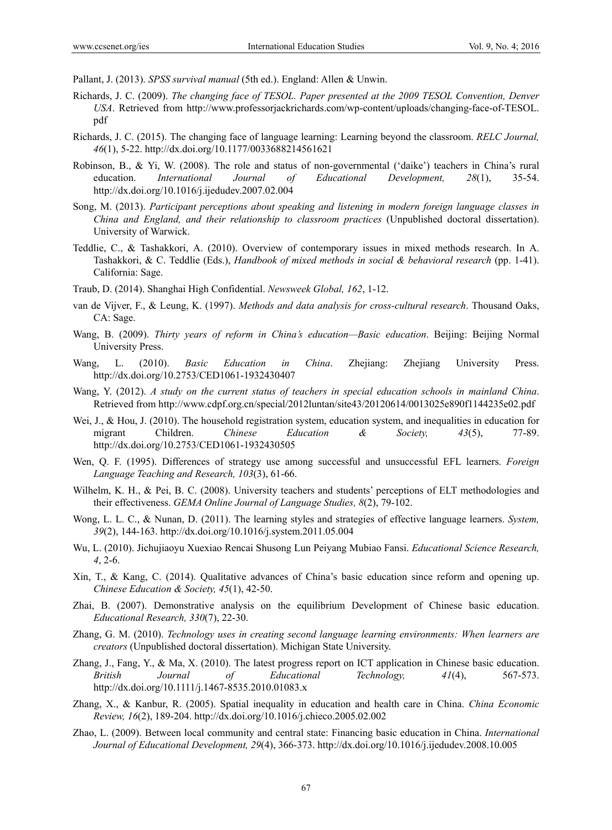Pallant, J. (2013). *SPSS survival manual* (5th ed.). England: Allen & Unwin.

- Richards, J. C. (2009). *The changing face of TESOL. Paper presented at the 2009 TESOL Convention, Denver USA*. Retrieved from http://www.professorjackrichards.com/wp-content/uploads/changing-face-of-TESOL. pdf
- Richards, J. C. (2015). The changing face of language learning: Learning beyond the classroom. *RELC Journal, 46*(1), 5-22. http://dx.doi.org/10.1177/0033688214561621
- Robinson, B., & Yi, W. (2008). The role and status of non-governmental ('daike') teachers in China's rural education. *International Journal of Educational Development, 28*(1), 35-54. http://dx.doi.org/10.1016/j.ijedudev.2007.02.004
- Song, M. (2013). *Participant perceptions about speaking and listening in modern foreign language classes in China and England, and their relationship to classroom practices* (Unpublished doctoral dissertation). University of Warwick.
- Teddlie, C., & Tashakkori, A. (2010). Overview of contemporary issues in mixed methods research. In A. Tashakkori, & C. Teddlie (Eds.), *Handbook of mixed methods in social & behavioral research* (pp. 1-41). California: Sage.
- Traub, D. (2014). Shanghai High Confidential. *Newsweek Global, 162*, 1-12.
- van de Vijver, F., & Leung, K. (1997). *Methods and data analysis for cross-cultural research*. Thousand Oaks, CA: Sage.
- Wang, B. (2009). *Thirty years of reform in China's education—Basic education*. Beijing: Beijing Normal University Press.
- Wang, L. (2010). *Basic Education in China*. Zhejiang: Zhejiang University Press. http://dx.doi.org/10.2753/CED1061-1932430407
- Wang, Y. (2012). *A study on the current status of teachers in special education schools in mainland China*. Retrieved from http://www.cdpf.org.cn/special/2012luntan/site43/20120614/0013025e890f1144235e02.pdf
- Wei, J., & Hou, J. (2010). The household registration system, education system, and inequalities in education for migrant Children. *Chinese Education & Society, 43*(5), 77-89. http://dx.doi.org/10.2753/CED1061-1932430505
- Wen, Q. F. (1995). Differences of strategy use among successful and unsuccessful EFL learners. *Foreign Language Teaching and Research, 103*(3), 61-66.
- Wilhelm, K. H., & Pei, B. C. (2008). University teachers and students' perceptions of ELT methodologies and their effectiveness. *GEMA Online Journal of Language Studies, 8*(2), 79-102.
- Wong, L. L. C., & Nunan, D. (2011). The learning styles and strategies of effective language learners. *System, 39*(2), 144-163. http://dx.doi.org/10.1016/j.system.2011.05.004
- Wu, L. (2010). Jichujiaoyu Xuexiao Rencai Shusong Lun Peiyang Mubiao Fansi. *Educational Science Research, 4*, 2-6.
- Xin, T., & Kang, C. (2014). Qualitative advances of China's basic education since reform and opening up. *Chinese Education & Society, 45*(1), 42-50.
- Zhai, B. (2007). Demonstrative analysis on the equilibrium Development of Chinese basic education. *Educational Research, 330*(7), 22-30.
- Zhang, G. M. (2010). *Technology uses in creating second language learning environments: When learners are creators* (Unpublished doctoral dissertation). Michigan State University.
- Zhang, J., Fang, Y., & Ma, X. (2010). The latest progress report on ICT application in Chinese basic education. *British Journal of Educational Technology, 41*(4), 567-573. http://dx.doi.org/10.1111/j.1467-8535.2010.01083.x
- Zhang, X., & Kanbur, R. (2005). Spatial inequality in education and health care in China. *China Economic Review, 16*(2), 189-204. http://dx.doi.org/10.1016/j.chieco.2005.02.002
- Zhao, L. (2009). Between local community and central state: Financing basic education in China. *International Journal of Educational Development, 29*(4), 366-373. http://dx.doi.org/10.1016/j.ijedudev.2008.10.005